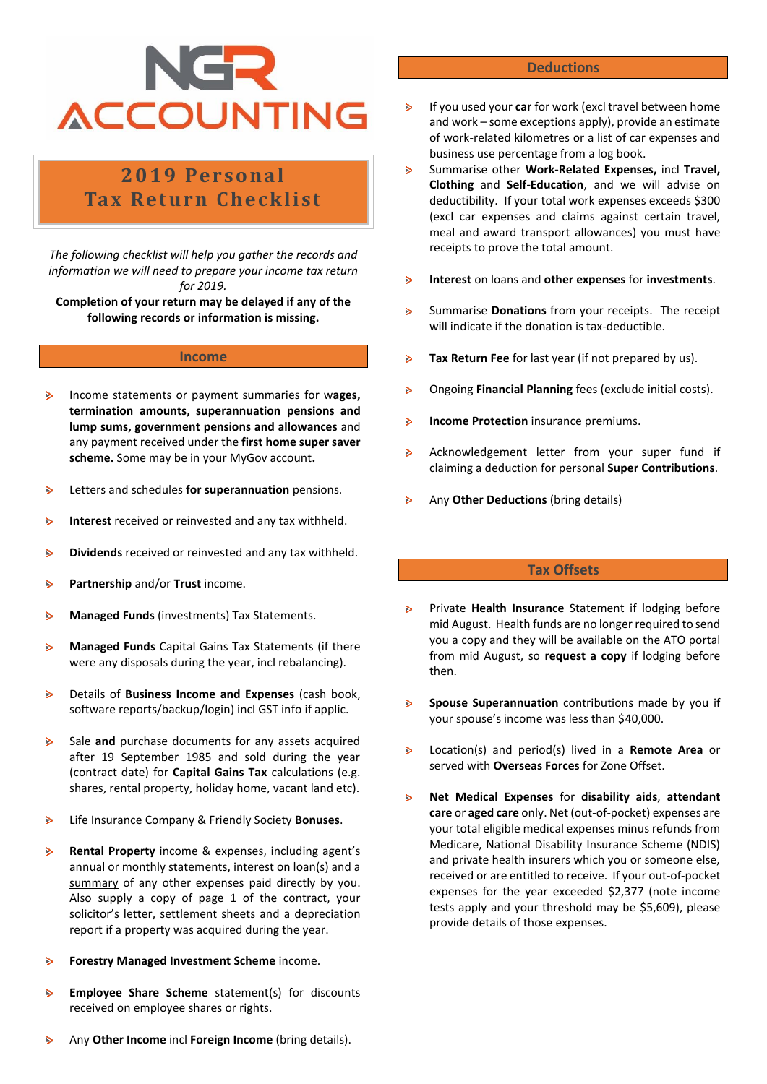## NGR **ACCOUNTING**

### **2019 Perso na l Tax Return Checklist**

*The following checklist will help you gather the records and information we will need to prepare your income tax return for 2019.*

**Completion of your return may be delayed if any of the following records or information is missing.**

#### **Income**

- $\overline{ }$ Income statements or payment summaries for w**ages, termination amounts, superannuation pensions and lump sums, government pensions and allowances** and any payment received under the **first home super saver scheme.** Some may be in your MyGov account**.**
- Letters and schedules **for superannuation** pensions.  $\geq$
- **Interest** received or reinvested and any tax withheld. ъ
- **Dividends** received or reinvested and any tax withheld.  $\triangleright$
- **Partnership** and/or **Trust** income.  $\triangleright$
- $\triangleright$ **Managed Funds** (investments) Tax Statements.
- **Managed Funds** Capital Gains Tax Statements (if there  $\geq$ were any disposals during the year, incl rebalancing).
- Details of **Business Income and Expenses** (cash book,  $\triangleright$ software reports/backup/login) incl GST info if applic.
- $\mathbf{S}$ Sale **and** purchase documents for any assets acquired after 19 September 1985 and sold during the year (contract date) for **Capital Gains Tax** calculations (e.g. shares, rental property, holiday home, vacant land etc).
- $\triangleright$ Life Insurance Company & Friendly Society **Bonuses**.
- $\triangleright$ **Rental Property** income & expenses, including agent's annual or monthly statements, interest on loan(s) and a summary of any other expenses paid directly by you. Also supply a copy of page 1 of the contract, your solicitor's letter, settlement sheets and a depreciation report if a property was acquired during the year.
- **Forestry Managed Investment Scheme** income. Ъ
- **Employee Share Scheme** statement(s) for discounts  $\triangleright$ received on employee shares or rights.

#### **Deductions**

- If you used your **car** for work (excl travel between home and work – some exceptions apply), provide an estimate of work-related kilometres or a list of car expenses and business use percentage from a log book.
- $\mathbf{B}$ Summarise other **Work-Related Expenses,** incl **Travel, Clothing** and **Self-Education**, and we will advise on deductibility. If your total work expenses exceeds \$300 (excl car expenses and claims against certain travel, meal and award transport allowances) you must have receipts to prove the total amount.
- $\mathbf{B}$ **Interest** on loans and **other expenses** for **investments**.
- Summarise **Donations** from your receipts.The receipt  $\triangleright$ will indicate if the donation is tax-deductible.
- **Tax Return Fee** for last year (if not prepared by us).  $\triangleright$
- $\triangleright$ Ongoing **Financial Planning** fees (exclude initial costs).
- **Income Protection** insurance premiums.  $\triangleright$
- $\mathbf{B}$ Acknowledgement letter from your super fund if claiming a deduction for personal **Super Contributions**.
- $\mathbf{S}$ Any **Other Deductions** (bring details)

#### **Tax Offsets**

- $\triangleright$ Private **Health Insurance** Statement if lodging before mid August. Health funds are no longer required to send you a copy and they will be available on the ATO portal from mid August, so **request a copy** if lodging before then.
- $\triangleright$ **Spouse Superannuation** contributions made by you if your spouse's income was less than \$40,000.
- $\triangleright$ Location(s) and period(s) lived in a **Remote Area** or served with **Overseas Forces** for Zone Offset.
- **Net Medical Expenses** for **disability aids**, **attendant**   $\triangleright$ **care** or **aged care** only. Net (out-of-pocket) expenses are your total eligible medical expenses minus refunds from Medicare, National Disability Insurance Scheme (NDIS) and private health insurers which you or someone else, received or are entitled to receive. If your out-of-pocket expenses for the year exceeded \$2,377 (note income tests apply and your threshold may be \$5,609), please provide details of those expenses.

Any **Other Income** incl **Foreign Income** (bring details).  $\triangleright$